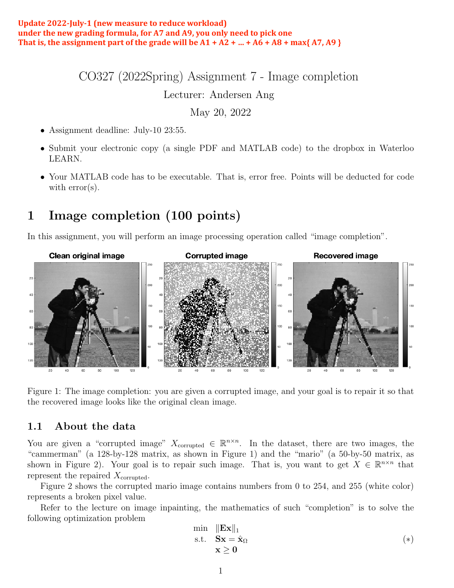#### Update 2022-July-1 (new measure to reduce workload) under the new grading formula, for A7 and A9, you only need to pick one That is, the assignment part of the grade will be  $A1 + A2 + ... + A6 + A8 + \max\{A7, A9\}$

CO327 (2022Spring) Assignment 7 - Image completion

Lecturer: Andersen Ang

May 20, 2022

- Assignment deadline: July-10 23:55.
- Submit your electronic copy (a single PDF and MATLAB code) to the dropbox in Waterloo LEARN.
- Your MATLAB code has to be executable. That is, error free. Points will be deducted for code with error(s).

## 1 Image completion (100 points)

In this assignment, you will perform an image processing operation called "image completion".



Figure 1: The image completion: you are given a corrupted image, and your goal is to repair it so that the recovered image looks like the original clean image.

### 1.1 About the data

You are given a "corrupted image"  $X_{\text{corrupted}} \in \mathbb{R}^{n \times n}$ . In the dataset, there are two images, the "cammerman" (a 128-by-128 matrix, as shown in Figure 1) and the "mario" (a 50-by-50 matrix, as shown in Figure 2). Your goal is to repair such image. That is, you want to get  $X \in \mathbb{R}^{n \times n}$  that represent the repaired  $X_{\text{corruoted}}$ .

Figure 2 shows the corrupted mario image contains numbers from 0 to 254, and 255 (white color) represents a broken pixel value.

Refer to the lecture on image inpainting, the mathematics of such "completion" is to solve the following optimization problem

$$
\begin{array}{ll}\n\min & \|\mathbf{E}\mathbf{x}\|_1 \\
\text{s.t.} & \mathbf{S}\mathbf{x} = \hat{\mathbf{x}}_{\Omega} \\
& \mathbf{x} \ge \mathbf{0}\n\end{array} \tag{(*)}
$$